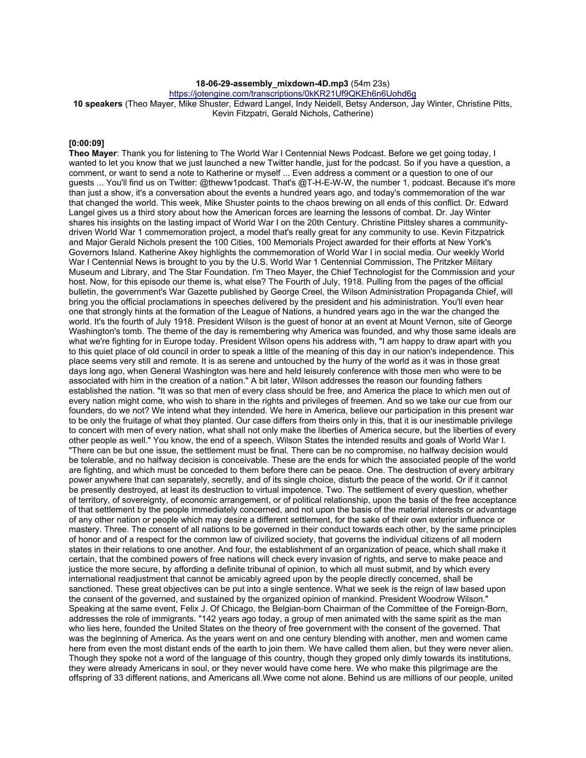# **18-06-29-assembly\_mixdown-4D.mp3** (54m 23s)

https://jotengine.com/transcriptions/0kKR21Uf9QKEh6n6Uohd6g

**10 speakers** (Theo Mayer, Mike Shuster, Edward Langel, Indy Neidell, Betsy Anderson, Jay Winter, Christine Pitts, Kevin Fitzpatri, Gerald Nichols, Catherine)

#### **[0:00:09]**

**Theo Mayer**: Thank you for listening to The World War I Centennial News Podcast. Before we get going today, I wanted to let you know that we just launched a new Twitter handle, just for the podcast. So if you have a question, a comment, or want to send a note to Katherine or myself ... Even address a comment or a question to one of our guests ... You'll find us on Twitter: @theww1podcast. That's @T-H-E-W-W, the number 1, podcast. Because it's more than just a show, it's a conversation about the events a hundred years ago, and today's commemoration of the war that changed the world. This week, Mike Shuster points to the chaos brewing on all ends of this conflict. Dr. Edward Langel gives us a third story about how the American forces are learning the lessons of combat. Dr. Jay Winter shares his insights on the lasting impact of World War I on the 20th Century. Christine Pittsley shares a communitydriven World War 1 commemoration project, a model that's really great for any community to use. Kevin Fitzpatrick and Major Gerald Nichols present the 100 Cities, 100 Memorials Project awarded for their efforts at New York's Governors Island. Katherine Akey highlights the commemoration of World War I in social media. Our weekly World War I Centennial News is brought to you by the U.S. World War 1 Centennial Commission, The Pritzker Military Museum and Library, and The Star Foundation. I'm Theo Mayer, the Chief Technologist for the Commission and your host. Now, for this episode our theme is, what else? The Fourth of July, 1918. Pulling from the pages of the official bulletin, the government's War Gazette published by George Creel, the Wilson Administration Propaganda Chief, will bring you the official proclamations in speeches delivered by the president and his administration. You'll even hear one that strongly hints at the formation of the League of Nations, a hundred years ago in the war the changed the world. It's the fourth of July 1918. President Wilson is the guest of honor at an event at Mount Vernon, site of George Washington's tomb. The theme of the day is remembering why America was founded, and why those same ideals are what we're fighting for in Europe today. President Wilson opens his address with, "I am happy to draw apart with you to this quiet place of old council in order to speak a little of the meaning of this day in our nation's independence. This place seems very still and remote. It is as serene and untouched by the hurry of the world as it was in those great days long ago, when General Washington was here and held leisurely conference with those men who were to be associated with him in the creation of a nation." A bit later, Wilson addresses the reason our founding fathers established the nation. "It was so that men of every class should be free, and America the place to which men out of every nation might come, who wish to share in the rights and privileges of freemen. And so we take our cue from our founders, do we not? We intend what they intended. We here in America, believe our participation in this present war to be only the fruitage of what they planted. Our case differs from theirs only in this, that it is our inestimable privilege to concert with men of every nation, what shall not only make the liberties of America secure, but the liberties of every other people as well." You know, the end of a speech, Wilson States the intended results and goals of World War I. "There can be but one issue, the settlement must be final. There can be no compromise, no halfway decision would be tolerable, and no halfway decision is conceivable. These are the ends for which the associated people of the world are fighting, and which must be conceded to them before there can be peace. One. The destruction of every arbitrary power anywhere that can separately, secretly, and of its single choice, disturb the peace of the world. Or if it cannot be presently destroyed, at least its destruction to virtual impotence. Two. The settlement of every question, whether of territory, of sovereignty, of economic arrangement, or of political relationship, upon the basis of the free acceptance of that settlement by the people immediately concerned, and not upon the basis of the material interests or advantage of any other nation or people which may desire a different settlement, for the sake of their own exterior influence or mastery. Three. The consent of all nations to be governed in their conduct towards each other, by the same principles of honor and of a respect for the common law of civilized society, that governs the individual citizens of all modern states in their relations to one another. And four, the establishment of an organization of peace, which shall make it certain, that the combined powers of free nations will check every invasion of rights, and serve to make peace and justice the more secure, by affording a definite tribunal of opinion, to which all must submit, and by which every international readjustment that cannot be amicably agreed upon by the people directly concerned, shall be sanctioned. These great objectives can be put into a single sentence. What we seek is the reign of law based upon the consent of the governed, and sustained by the organized opinion of mankind. President Woodrow Wilson." Speaking at the same event, Felix J. Of Chicago, the Belgian-born Chairman of the Committee of the Foreign-Born, addresses the role of immigrants. "142 years ago today, a group of men animated with the same spirit as the man who lies here, founded the United States on the theory of free government with the consent of the governed. That was the beginning of America. As the years went on and one century blending with another, men and women came here from even the most distant ends of the earth to join them. We have called them alien, but they were never alien. Though they spoke not a word of the language of this country, though they groped only dimly towards its institutions, they were already Americans in soul, or they never would have come here. We who make this pilgrimage are the offspring of 33 different nations, and Americans all.Wwe come not alone. Behind us are millions of our people, united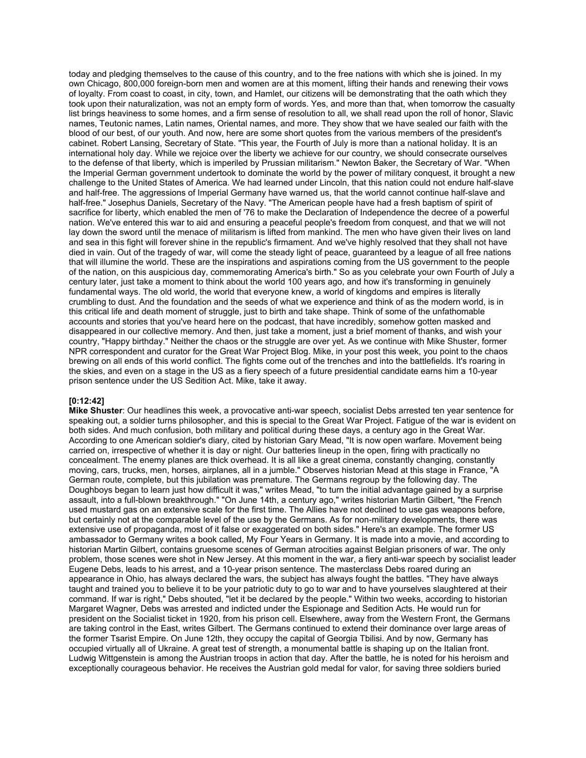today and pledging themselves to the cause of this country, and to the free nations with which she is joined. In my own Chicago, 800,000 foreign-born men and women are at this moment, lifting their hands and renewing their vows of loyalty. From coast to coast, in city, town, and Hamlet, our citizens will be demonstrating that the oath which they took upon their naturalization, was not an empty form of words. Yes, and more than that, when tomorrow the casualty list brings heaviness to some homes, and a firm sense of resolution to all, we shall read upon the roll of honor, Slavic names, Teutonic names, Latin names, Oriental names, and more. They show that we have sealed our faith with the blood of our best, of our youth. And now, here are some short quotes from the various members of the president's cabinet. Robert Lansing, Secretary of State. "This year, the Fourth of July is more than a national holiday. It is an international holy day. While we rejoice over the liberty we achieve for our country, we should consecrate ourselves to the defense of that liberty, which is imperiled by Prussian militarism." Newton Baker, the Secretary of War. "When the Imperial German government undertook to dominate the world by the power of military conquest, it brought a new challenge to the United States of America. We had learned under Lincoln, that this nation could not endure half-slave and half-free. The aggressions of Imperial Germany have warned us, that the world cannot continue half-slave and half-free." Josephus Daniels, Secretary of the Navy. "The American people have had a fresh baptism of spirit of sacrifice for liberty, which enabled the men of '76 to make the Declaration of Independence the decree of a powerful nation. We've entered this war to aid and ensuring a peaceful people's freedom from conquest, and that we will not lay down the sword until the menace of militarism is lifted from mankind. The men who have given their lives on land and sea in this fight will forever shine in the republic's firmament. And we've highly resolved that they shall not have died in vain. Out of the tragedy of war, will come the steady light of peace, guaranteed by a league of all free nations that will illumine the world. These are the inspirations and aspirations coming from the US government to the people of the nation, on this auspicious day, commemorating America's birth." So as you celebrate your own Fourth of July a century later, just take a moment to think about the world 100 years ago, and how it's transforming in genuinely fundamental ways. The old world, the world that everyone knew, a world of kingdoms and empires is literally crumbling to dust. And the foundation and the seeds of what we experience and think of as the modern world, is in this critical life and death moment of struggle, just to birth and take shape. Think of some of the unfathomable accounts and stories that you've heard here on the podcast, that have incredibly, somehow gotten masked and disappeared in our collective memory. And then, just take a moment, just a brief moment of thanks, and wish your country, "Happy birthday." Neither the chaos or the struggle are over yet. As we continue with Mike Shuster, former NPR correspondent and curator for the Great War Project Blog. Mike, in your post this week, you point to the chaos brewing on all ends of this world conflict. The fights come out of the trenches and into the battlefields. It's roaring in the skies, and even on a stage in the US as a fiery speech of a future presidential candidate earns him a 10-year prison sentence under the US Sedition Act. Mike, take it away.

## **[0:12:42]**

**Mike Shuster**: Our headlines this week, a provocative anti-war speech, socialist Debs arrested ten year sentence for speaking out, a soldier turns philosopher, and this is special to the Great War Project. Fatigue of the war is evident on both sides. And much confusion, both military and political during these days, a century ago in the Great War. According to one American soldier's diary, cited by historian Gary Mead, "It is now open warfare. Movement being carried on, irrespective of whether it is day or night. Our batteries lineup in the open, firing with practically no concealment. The enemy planes are thick overhead. It is all like a great cinema, constantly changing, constantly moving, cars, trucks, men, horses, airplanes, all in a jumble." Observes historian Mead at this stage in France, "A German route, complete, but this jubilation was premature. The Germans regroup by the following day. The Doughboys began to learn just how difficult it was," writes Mead, "to turn the initial advantage gained by a surprise assault, into a full-blown breakthrough." "On June 14th, a century ago," writes historian Martin Gilbert, "the French used mustard gas on an extensive scale for the first time. The Allies have not declined to use gas weapons before, but certainly not at the comparable level of the use by the Germans. As for non-military developments, there was extensive use of propaganda, most of it false or exaggerated on both sides." Here's an example. The former US ambassador to Germany writes a book called, My Four Years in Germany. It is made into a movie, and according to historian Martin Gilbert, contains gruesome scenes of German atrocities against Belgian prisoners of war. The only problem, those scenes were shot in New Jersey. At this moment in the war, a fiery anti-war speech by socialist leader Eugene Debs, leads to his arrest, and a 10-year prison sentence. The masterclass Debs roared during an appearance in Ohio, has always declared the wars, the subject has always fought the battles. "They have always taught and trained you to believe it to be your patriotic duty to go to war and to have yourselves slaughtered at their command. If war is right," Debs shouted, "let it be declared by the people." Within two weeks, according to historian Margaret Wagner, Debs was arrested and indicted under the Espionage and Sedition Acts. He would run for president on the Socialist ticket in 1920, from his prison cell. Elsewhere, away from the Western Front, the Germans are taking control in the East, writes Gilbert. The Germans continued to extend their dominance over large areas of the former Tsarist Empire. On June 12th, they occupy the capital of Georgia Tbilisi. And by now, Germany has occupied virtually all of Ukraine. A great test of strength, a monumental battle is shaping up on the Italian front. Ludwig Wittgenstein is among the Austrian troops in action that day. After the battle, he is noted for his heroism and exceptionally courageous behavior. He receives the Austrian gold medal for valor, for saving three soldiers buried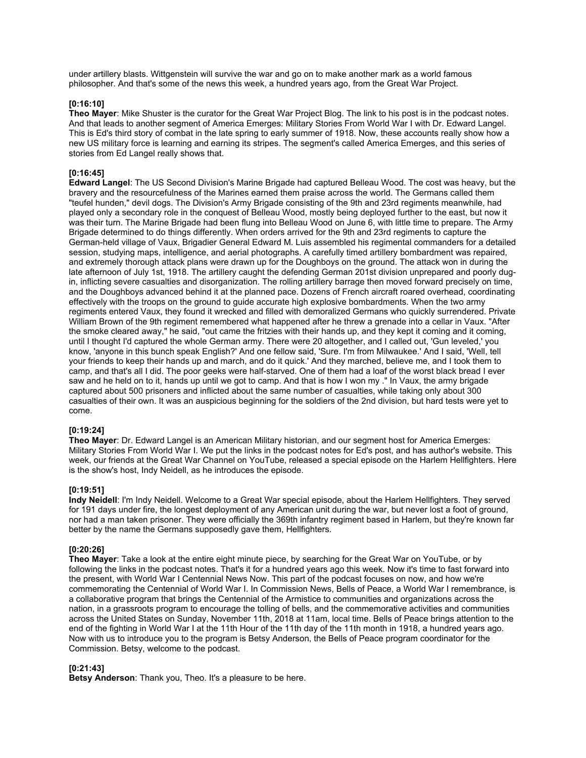under artillery blasts. Wittgenstein will survive the war and go on to make another mark as a world famous philosopher. And that's some of the news this week, a hundred years ago, from the Great War Project.

### **[0:16:10]**

**Theo Mayer**: Mike Shuster is the curator for the Great War Project Blog. The link to his post is in the podcast notes. And that leads to another segment of America Emerges: Military Stories From World War I with Dr. Edward Langel. This is Ed's third story of combat in the late spring to early summer of 1918. Now, these accounts really show how a new US military force is learning and earning its stripes. The segment's called America Emerges, and this series of stories from Ed Langel really shows that.

## **[0:16:45]**

**Edward Langel**: The US Second Division's Marine Brigade had captured Belleau Wood. The cost was heavy, but the bravery and the resourcefulness of the Marines earned them praise across the world. The Germans called them "teufel hunden," devil dogs. The Division's Army Brigade consisting of the 9th and 23rd regiments meanwhile, had played only a secondary role in the conquest of Belleau Wood, mostly being deployed further to the east, but now it was their turn. The Marine Brigade had been flung into Belleau Wood on June 6, with little time to prepare. The Army Brigade determined to do things differently. When orders arrived for the 9th and 23rd regiments to capture the German-held village of Vaux, Brigadier General Edward M. Luis assembled his regimental commanders for a detailed session, studying maps, intelligence, and aerial photographs. A carefully timed artillery bombardment was repaired, and extremely thorough attack plans were drawn up for the Doughboys on the ground. The attack won in during the late afternoon of July 1st, 1918. The artillery caught the defending German 201st division unprepared and poorly dugin, inflicting severe casualties and disorganization. The rolling artillery barrage then moved forward precisely on time, and the Doughboys advanced behind it at the planned pace. Dozens of French aircraft roared overhead, coordinating effectively with the troops on the ground to guide accurate high explosive bombardments. When the two army regiments entered Vaux, they found it wrecked and filled with demoralized Germans who quickly surrendered. Private William Brown of the 9th regiment remembered what happened after he threw a grenade into a cellar in Vaux. "After the smoke cleared away," he said, "out came the fritzies with their hands up, and they kept it coming and it coming, until I thought I'd captured the whole German army. There were 20 altogether, and I called out, 'Gun leveled,' you know, 'anyone in this bunch speak English?' And one fellow said, 'Sure. I'm from Milwaukee.' And I said, 'Well, tell your friends to keep their hands up and march, and do it quick.' And they marched, believe me, and I took them to camp, and that's all I did. The poor geeks were half-starved. One of them had a loaf of the worst black bread I ever saw and he held on to it, hands up until we got to camp. And that is how I won my ." In Vaux, the army brigade captured about 500 prisoners and inflicted about the same number of casualties, while taking only about 300 casualties of their own. It was an auspicious beginning for the soldiers of the 2nd division, but hard tests were yet to come.

# **[0:19:24]**

**Theo Mayer**: Dr. Edward Langel is an American Military historian, and our segment host for America Emerges: Military Stories From World War I. We put the links in the podcast notes for Ed's post, and has author's website. This week, our friends at the Great War Channel on YouTube, released a special episode on the Harlem Hellfighters. Here is the show's host, Indy Neidell, as he introduces the episode.

### **[0:19:51]**

**Indy Neidell**: I'm Indy Neidell. Welcome to a Great War special episode, about the Harlem Hellfighters. They served for 191 days under fire, the longest deployment of any American unit during the war, but never lost a foot of ground, nor had a man taken prisoner. They were officially the 369th infantry regiment based in Harlem, but they're known far better by the name the Germans supposedly gave them, Hellfighters.

### **[0:20:26]**

**Theo Mayer**: Take a look at the entire eight minute piece, by searching for the Great War on YouTube, or by following the links in the podcast notes. That's it for a hundred years ago this week. Now it's time to fast forward into the present, with World War I Centennial News Now. This part of the podcast focuses on now, and how we're commemorating the Centennial of World War I. In Commission News, Bells of Peace, a World War I remembrance, is a collaborative program that brings the Centennial of the Armistice to communities and organizations across the nation, in a grassroots program to encourage the tolling of bells, and the commemorative activities and communities across the United States on Sunday, November 11th, 2018 at 11am, local time. Bells of Peace brings attention to the end of the fighting in World War I at the 11th Hour of the 11th day of the 11th month in 1918, a hundred years ago. Now with us to introduce you to the program is Betsy Anderson, the Bells of Peace program coordinator for the Commission. Betsy, welcome to the podcast.

### **[0:21:43]**

**Betsy Anderson**: Thank you, Theo. It's a pleasure to be here.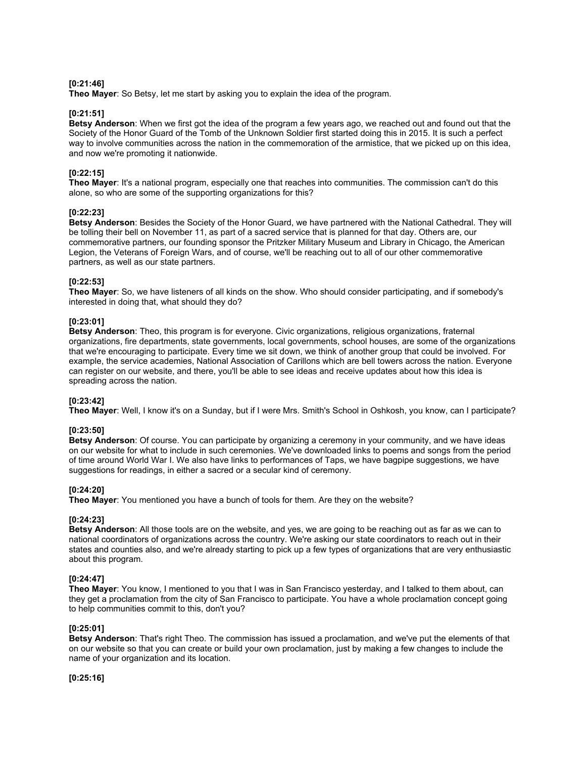### **[0:21:46]**

**Theo Mayer**: So Betsy, let me start by asking you to explain the idea of the program.

### **[0:21:51]**

**Betsy Anderson**: When we first got the idea of the program a few years ago, we reached out and found out that the Society of the Honor Guard of the Tomb of the Unknown Soldier first started doing this in 2015. It is such a perfect way to involve communities across the nation in the commemoration of the armistice, that we picked up on this idea, and now we're promoting it nationwide.

## **[0:22:15]**

**Theo Mayer**: It's a national program, especially one that reaches into communities. The commission can't do this alone, so who are some of the supporting organizations for this?

### **[0:22:23]**

**Betsy Anderson**: Besides the Society of the Honor Guard, we have partnered with the National Cathedral. They will be tolling their bell on November 11, as part of a sacred service that is planned for that day. Others are, our commemorative partners, our founding sponsor the Pritzker Military Museum and Library in Chicago, the American Legion, the Veterans of Foreign Wars, and of course, we'll be reaching out to all of our other commemorative partners, as well as our state partners.

### **[0:22:53]**

**Theo Mayer**: So, we have listeners of all kinds on the show. Who should consider participating, and if somebody's interested in doing that, what should they do?

### **[0:23:01]**

**Betsy Anderson**: Theo, this program is for everyone. Civic organizations, religious organizations, fraternal organizations, fire departments, state governments, local governments, school houses, are some of the organizations that we're encouraging to participate. Every time we sit down, we think of another group that could be involved. For example, the service academies, National Association of Carillons which are bell towers across the nation. Everyone can register on our website, and there, you'll be able to see ideas and receive updates about how this idea is spreading across the nation.

### **[0:23:42]**

**Theo Mayer**: Well, I know it's on a Sunday, but if I were Mrs. Smith's School in Oshkosh, you know, can I participate?

# **[0:23:50]**

**Betsy Anderson**: Of course. You can participate by organizing a ceremony in your community, and we have ideas on our website for what to include in such ceremonies. We've downloaded links to poems and songs from the period of time around World War I. We also have links to performances of Taps, we have bagpipe suggestions, we have suggestions for readings, in either a sacred or a secular kind of ceremony.

## **[0:24:20]**

**Theo Mayer**: You mentioned you have a bunch of tools for them. Are they on the website?

### **[0:24:23]**

**Betsy Anderson**: All those tools are on the website, and yes, we are going to be reaching out as far as we can to national coordinators of organizations across the country. We're asking our state coordinators to reach out in their states and counties also, and we're already starting to pick up a few types of organizations that are very enthusiastic about this program.

### **[0:24:47]**

**Theo Mayer**: You know, I mentioned to you that I was in San Francisco yesterday, and I talked to them about, can they get a proclamation from the city of San Francisco to participate. You have a whole proclamation concept going to help communities commit to this, don't you?

### **[0:25:01]**

**Betsy Anderson**: That's right Theo. The commission has issued a proclamation, and we've put the elements of that on our website so that you can create or build your own proclamation, just by making a few changes to include the name of your organization and its location.

**[0:25:16]**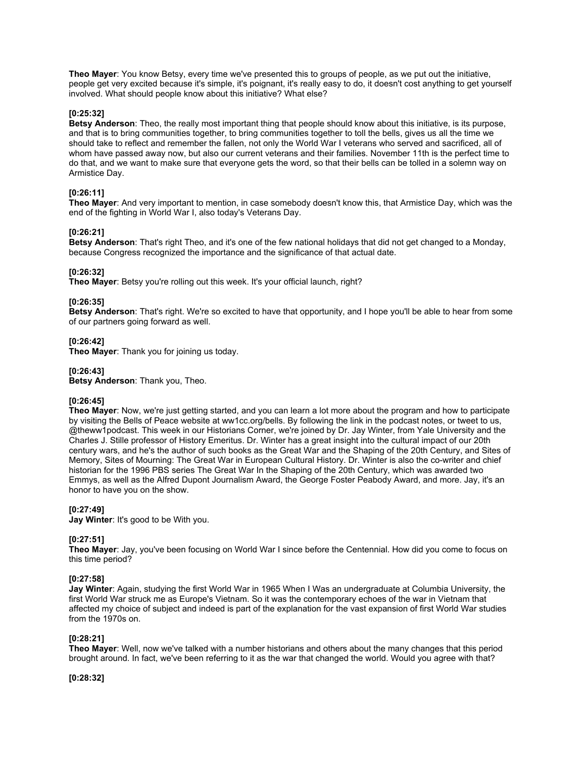**Theo Mayer**: You know Betsy, every time we've presented this to groups of people, as we put out the initiative, people get very excited because it's simple, it's poignant, it's really easy to do, it doesn't cost anything to get yourself involved. What should people know about this initiative? What else?

### **[0:25:32]**

**Betsy Anderson**: Theo, the really most important thing that people should know about this initiative, is its purpose, and that is to bring communities together, to bring communities together to toll the bells, gives us all the time we should take to reflect and remember the fallen, not only the World War I veterans who served and sacrificed, all of whom have passed away now, but also our current veterans and their families. November 11th is the perfect time to do that, and we want to make sure that everyone gets the word, so that their bells can be tolled in a solemn way on Armistice Day.

## **[0:26:11]**

**Theo Mayer**: And very important to mention, in case somebody doesn't know this, that Armistice Day, which was the end of the fighting in World War I, also today's Veterans Day.

### **[0:26:21]**

**Betsy Anderson**: That's right Theo, and it's one of the few national holidays that did not get changed to a Monday, because Congress recognized the importance and the significance of that actual date.

### **[0:26:32]**

**Theo Mayer:** Betsy you're rolling out this week. It's your official launch, right?

### **[0:26:35]**

**Betsy Anderson**: That's right. We're so excited to have that opportunity, and I hope you'll be able to hear from some of our partners going forward as well.

### **[0:26:42]**

**Theo Mayer**: Thank you for joining us today.

### **[0:26:43]**

**Betsy Anderson**: Thank you, Theo.

### **[0:26:45]**

**Theo Mayer**: Now, we're just getting started, and you can learn a lot more about the program and how to participate by visiting the Bells of Peace website at ww1cc.org/bells. By following the link in the podcast notes, or tweet to us, @theww1podcast. This week in our Historians Corner, we're joined by Dr. Jay Winter, from Yale University and the Charles J. Stille professor of History Emeritus. Dr. Winter has a great insight into the cultural impact of our 20th century wars, and he's the author of such books as the Great War and the Shaping of the 20th Century, and Sites of Memory, Sites of Mourning: The Great War in European Cultural History. Dr. Winter is also the co-writer and chief historian for the 1996 PBS series The Great War In the Shaping of the 20th Century, which was awarded two Emmys, as well as the Alfred Dupont Journalism Award, the George Foster Peabody Award, and more. Jay, it's an honor to have you on the show.

## **[0:27:49]**

**Jay Winter**: It's good to be With you.

## **[0:27:51]**

**Theo Mayer**: Jay, you've been focusing on World War I since before the Centennial. How did you come to focus on this time period?

### **[0:27:58]**

**Jay Winter**: Again, studying the first World War in 1965 When I Was an undergraduate at Columbia University, the first World War struck me as Europe's Vietnam. So it was the contemporary echoes of the war in Vietnam that affected my choice of subject and indeed is part of the explanation for the vast expansion of first World War studies from the 1970s on.

### **[0:28:21]**

**Theo Mayer**: Well, now we've talked with a number historians and others about the many changes that this period brought around. In fact, we've been referring to it as the war that changed the world. Would you agree with that?

**[0:28:32]**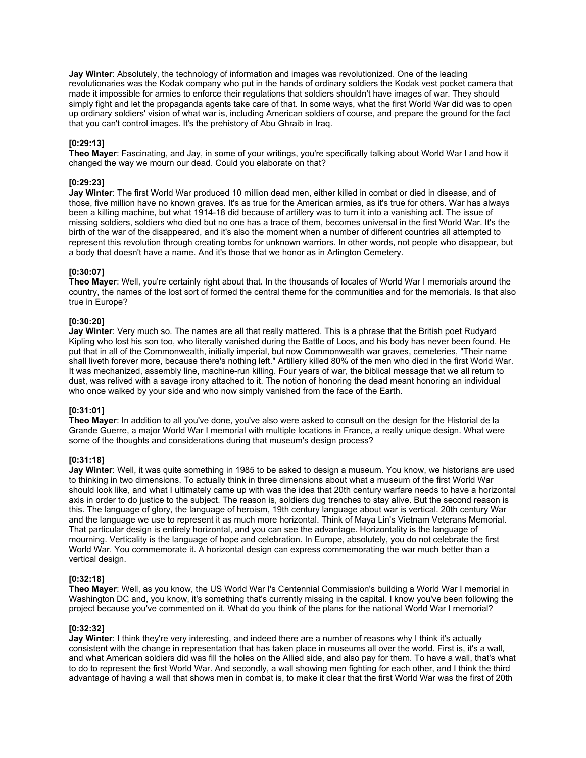**Jay Winter**: Absolutely, the technology of information and images was revolutionized. One of the leading revolutionaries was the Kodak company who put in the hands of ordinary soldiers the Kodak vest pocket camera that made it impossible for armies to enforce their regulations that soldiers shouldn't have images of war. They should simply fight and let the propaganda agents take care of that. In some ways, what the first World War did was to open up ordinary soldiers' vision of what war is, including American soldiers of course, and prepare the ground for the fact that you can't control images. It's the prehistory of Abu Ghraib in Iraq.

### **[0:29:13]**

**Theo Mayer**: Fascinating, and Jay, in some of your writings, you're specifically talking about World War I and how it changed the way we mourn our dead. Could you elaborate on that?

### **[0:29:23]**

**Jay Winter**: The first World War produced 10 million dead men, either killed in combat or died in disease, and of those, five million have no known graves. It's as true for the American armies, as it's true for others. War has always been a killing machine, but what 1914-18 did because of artillery was to turn it into a vanishing act. The issue of missing soldiers, soldiers who died but no one has a trace of them, becomes universal in the first World War. It's the birth of the war of the disappeared, and it's also the moment when a number of different countries all attempted to represent this revolution through creating tombs for unknown warriors. In other words, not people who disappear, but a body that doesn't have a name. And it's those that we honor as in Arlington Cemetery.

### **[0:30:07]**

**Theo Mayer**: Well, you're certainly right about that. In the thousands of locales of World War I memorials around the country, the names of the lost sort of formed the central theme for the communities and for the memorials. Is that also true in Europe?

### **[0:30:20]**

**Jay Winter**: Very much so. The names are all that really mattered. This is a phrase that the British poet Rudyard Kipling who lost his son too, who literally vanished during the Battle of Loos, and his body has never been found. He put that in all of the Commonwealth, initially imperial, but now Commonwealth war graves, cemeteries, "Their name shall liveth forever more, because there's nothing left." Artillery killed 80% of the men who died in the first World War. It was mechanized, assembly line, machine-run killing. Four years of war, the biblical message that we all return to dust, was relived with a savage irony attached to it. The notion of honoring the dead meant honoring an individual who once walked by your side and who now simply vanished from the face of the Earth.

# **[0:31:01]**

**Theo Mayer**: In addition to all you've done, you've also were asked to consult on the design for the Historial de la Grande Guerre, a major World War I memorial with multiple locations in France, a really unique design. What were some of the thoughts and considerations during that museum's design process?

### **[0:31:18]**

**Jay Winter**: Well, it was quite something in 1985 to be asked to design a museum. You know, we historians are used to thinking in two dimensions. To actually think in three dimensions about what a museum of the first World War should look like, and what I ultimately came up with was the idea that 20th century warfare needs to have a horizontal axis in order to do justice to the subject. The reason is, soldiers dug trenches to stay alive. But the second reason is this. The language of glory, the language of heroism, 19th century language about war is vertical. 20th century War and the language we use to represent it as much more horizontal. Think of Maya Lin's Vietnam Veterans Memorial. That particular design is entirely horizontal, and you can see the advantage. Horizontality is the language of mourning. Verticality is the language of hope and celebration. In Europe, absolutely, you do not celebrate the first World War. You commemorate it. A horizontal design can express commemorating the war much better than a vertical design.

### **[0:32:18]**

**Theo Mayer**: Well, as you know, the US World War I's Centennial Commission's building a World War I memorial in Washington DC and, you know, it's something that's currently missing in the capital. I know you've been following the project because you've commented on it. What do you think of the plans for the national World War I memorial?

### **[0:32:32]**

**Jay Winter**: I think they're very interesting, and indeed there are a number of reasons why I think it's actually consistent with the change in representation that has taken place in museums all over the world. First is, it's a wall, and what American soldiers did was fill the holes on the Allied side, and also pay for them. To have a wall, that's what to do to represent the first World War. And secondly, a wall showing men fighting for each other, and I think the third advantage of having a wall that shows men in combat is, to make it clear that the first World War was the first of 20th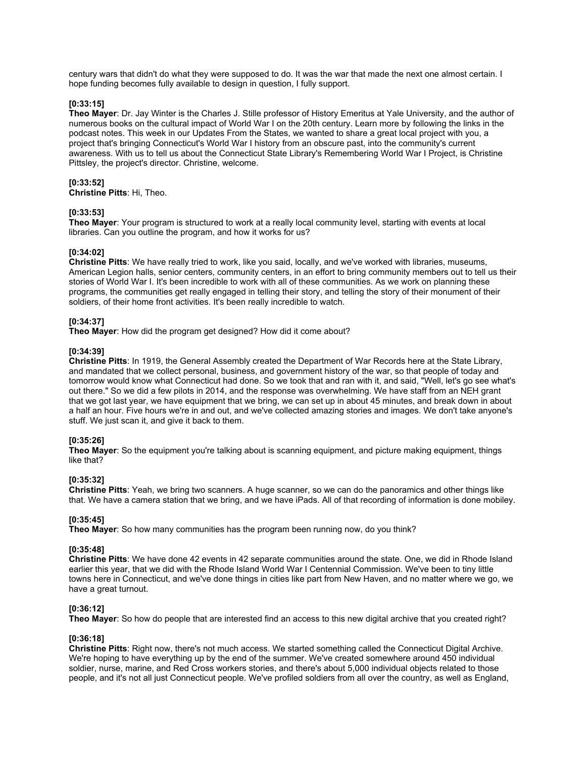century wars that didn't do what they were supposed to do. It was the war that made the next one almost certain. I hope funding becomes fully available to design in question, I fully support.

### **[0:33:15]**

**Theo Mayer**: Dr. Jay Winter is the Charles J. Stille professor of History Emeritus at Yale University, and the author of numerous books on the cultural impact of World War I on the 20th century. Learn more by following the links in the podcast notes. This week in our Updates From the States, we wanted to share a great local project with you, a project that's bringing Connecticut's World War I history from an obscure past, into the community's current awareness. With us to tell us about the Connecticut State Library's Remembering World War I Project, is Christine Pittsley, the project's director. Christine, welcome.

### **[0:33:52]**

**Christine Pitts**: Hi, Theo.

### **[0:33:53]**

**Theo Mayer**: Your program is structured to work at a really local community level, starting with events at local libraries. Can you outline the program, and how it works for us?

### **[0:34:02]**

**Christine Pitts**: We have really tried to work, like you said, locally, and we've worked with libraries, museums, American Legion halls, senior centers, community centers, in an effort to bring community members out to tell us their stories of World War I. It's been incredible to work with all of these communities. As we work on planning these programs, the communities get really engaged in telling their story, and telling the story of their monument of their soldiers, of their home front activities. It's been really incredible to watch.

### **[0:34:37]**

**Theo Mayer**: How did the program get designed? How did it come about?

### **[0:34:39]**

**Christine Pitts**: In 1919, the General Assembly created the Department of War Records here at the State Library, and mandated that we collect personal, business, and government history of the war, so that people of today and tomorrow would know what Connecticut had done. So we took that and ran with it, and said, "Well, let's go see what's out there." So we did a few pilots in 2014, and the response was overwhelming. We have staff from an NEH grant that we got last year, we have equipment that we bring, we can set up in about 45 minutes, and break down in about a half an hour. Five hours we're in and out, and we've collected amazing stories and images. We don't take anyone's stuff. We just scan it, and give it back to them.

### **[0:35:26]**

**Theo Mayer**: So the equipment you're talking about is scanning equipment, and picture making equipment, things like that?

### **[0:35:32]**

**Christine Pitts**: Yeah, we bring two scanners. A huge scanner, so we can do the panoramics and other things like that. We have a camera station that we bring, and we have iPads. All of that recording of information is done mobiley.

### **[0:35:45]**

**Theo Mayer**: So how many communities has the program been running now, do you think?

## **[0:35:48]**

**Christine Pitts**: We have done 42 events in 42 separate communities around the state. One, we did in Rhode Island earlier this year, that we did with the Rhode Island World War I Centennial Commission. We've been to tiny little towns here in Connecticut, and we've done things in cities like part from New Haven, and no matter where we go, we have a great turnout.

### **[0:36:12]**

**Theo Mayer**: So how do people that are interested find an access to this new digital archive that you created right?

### **[0:36:18]**

**Christine Pitts**: Right now, there's not much access. We started something called the Connecticut Digital Archive. We're hoping to have everything up by the end of the summer. We've created somewhere around 450 individual soldier, nurse, marine, and Red Cross workers stories, and there's about 5,000 individual objects related to those people, and it's not all just Connecticut people. We've profiled soldiers from all over the country, as well as England,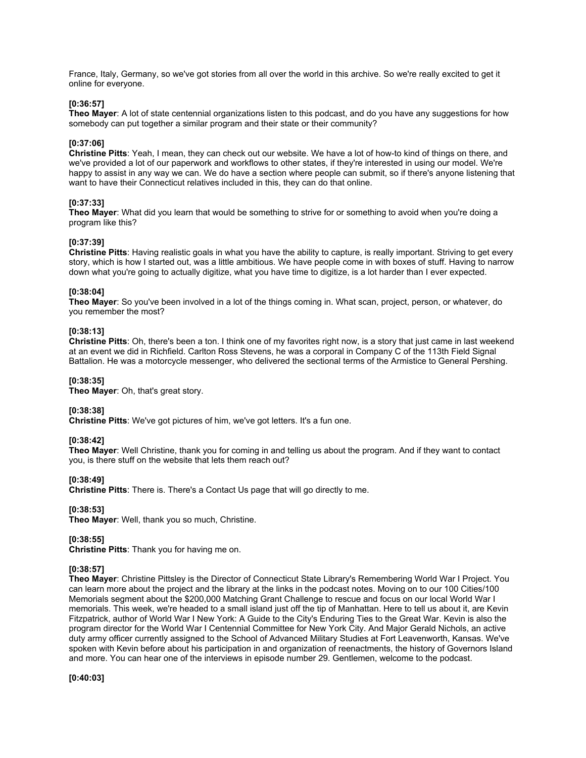France, Italy, Germany, so we've got stories from all over the world in this archive. So we're really excited to get it online for everyone.

### **[0:36:57]**

**Theo Mayer**: A lot of state centennial organizations listen to this podcast, and do you have any suggestions for how somebody can put together a similar program and their state or their community?

### **[0:37:06]**

**Christine Pitts**: Yeah, I mean, they can check out our website. We have a lot of how-to kind of things on there, and we've provided a lot of our paperwork and workflows to other states, if they're interested in using our model. We're happy to assist in any way we can. We do have a section where people can submit, so if there's anyone listening that want to have their Connecticut relatives included in this, they can do that online.

## **[0:37:33]**

**Theo Mayer**: What did you learn that would be something to strive for or something to avoid when you're doing a program like this?

### **[0:37:39]**

**Christine Pitts**: Having realistic goals in what you have the ability to capture, is really important. Striving to get every story, which is how I started out, was a little ambitious. We have people come in with boxes of stuff. Having to narrow down what you're going to actually digitize, what you have time to digitize, is a lot harder than I ever expected.

### **[0:38:04]**

**Theo Mayer**: So you've been involved in a lot of the things coming in. What scan, project, person, or whatever, do you remember the most?

### **[0:38:13]**

**Christine Pitts**: Oh, there's been a ton. I think one of my favorites right now, is a story that just came in last weekend at an event we did in Richfield. Carlton Ross Stevens, he was a corporal in Company C of the 113th Field Signal Battalion. He was a motorcycle messenger, who delivered the sectional terms of the Armistice to General Pershing.

### **[0:38:35]**

**Theo Mayer**: Oh, that's great story.

### **[0:38:38]**

**Christine Pitts**: We've got pictures of him, we've got letters. It's a fun one.

### **[0:38:42]**

**Theo Mayer**: Well Christine, thank you for coming in and telling us about the program. And if they want to contact you, is there stuff on the website that lets them reach out?

### **[0:38:49]**

**Christine Pitts**: There is. There's a Contact Us page that will go directly to me.

### **[0:38:53]**

**Theo Mayer**: Well, thank you so much, Christine.

## **[0:38:55]**

**Christine Pitts**: Thank you for having me on.

## **[0:38:57]**

**Theo Mayer**: Christine Pittsley is the Director of Connecticut State Library's Remembering World War I Project. You can learn more about the project and the library at the links in the podcast notes. Moving on to our 100 Cities/100 Memorials segment about the \$200,000 Matching Grant Challenge to rescue and focus on our local World War I memorials. This week, we're headed to a small island just off the tip of Manhattan. Here to tell us about it, are Kevin Fitzpatrick, author of World War I New York: A Guide to the City's Enduring Ties to the Great War. Kevin is also the program director for the World War I Centennial Committee for New York City. And Major Gerald Nichols, an active duty army officer currently assigned to the School of Advanced Military Studies at Fort Leavenworth, Kansas. We've spoken with Kevin before about his participation in and organization of reenactments, the history of Governors Island and more. You can hear one of the interviews in episode number 29. Gentlemen, welcome to the podcast.

**[0:40:03]**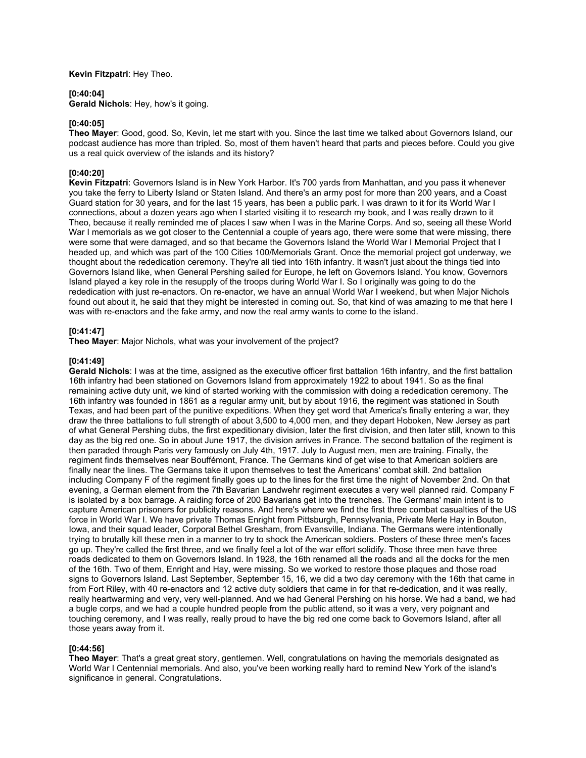**Kevin Fitzpatri**: Hey Theo.

### **[0:40:04]**

**Gerald Nichols**: Hey, how's it going.

#### **[0:40:05]**

**Theo Mayer**: Good, good. So, Kevin, let me start with you. Since the last time we talked about Governors Island, our podcast audience has more than tripled. So, most of them haven't heard that parts and pieces before. Could you give us a real quick overview of the islands and its history?

# **[0:40:20]**

**Kevin Fitzpatri**: Governors Island is in New York Harbor. It's 700 yards from Manhattan, and you pass it whenever you take the ferry to Liberty Island or Staten Island. And there's an army post for more than 200 years, and a Coast Guard station for 30 years, and for the last 15 years, has been a public park. I was drawn to it for its World War I connections, about a dozen years ago when I started visiting it to research my book, and I was really drawn to it Theo, because it really reminded me of places I saw when I was in the Marine Corps. And so, seeing all these World War I memorials as we got closer to the Centennial a couple of years ago, there were some that were missing, there were some that were damaged, and so that became the Governors Island the World War I Memorial Project that I headed up, and which was part of the 100 Cities 100/Memorials Grant. Once the memorial project got underway, we thought about the rededication ceremony. They're all tied into 16th infantry. It wasn't just about the things tied into Governors Island like, when General Pershing sailed for Europe, he left on Governors Island. You know, Governors Island played a key role in the resupply of the troops during World War I. So I originally was going to do the rededication with just re-enactors. On re-enactor, we have an annual World War I weekend, but when Major Nichols found out about it, he said that they might be interested in coming out. So, that kind of was amazing to me that here I was with re-enactors and the fake army, and now the real army wants to come to the island.

### **[0:41:47]**

**Theo Mayer**: Major Nichols, what was your involvement of the project?

#### **[0:41:49]**

**Gerald Nichols**: I was at the time, assigned as the executive officer first battalion 16th infantry, and the first battalion 16th infantry had been stationed on Governors Island from approximately 1922 to about 1941. So as the final remaining active duty unit, we kind of started working with the commission with doing a rededication ceremony. The 16th infantry was founded in 1861 as a regular army unit, but by about 1916, the regiment was stationed in South Texas, and had been part of the punitive expeditions. When they get word that America's finally entering a war, they draw the three battalions to full strength of about 3,500 to 4,000 men, and they depart Hoboken, New Jersey as part of what General Pershing dubs, the first expeditionary division, later the first division, and then later still, known to this day as the big red one. So in about June 1917, the division arrives in France. The second battalion of the regiment is then paraded through Paris very famously on July 4th, 1917. July to August men, men are training. Finally, the regiment finds themselves near Bouffémont, France. The Germans kind of get wise to that American soldiers are finally near the lines. The Germans take it upon themselves to test the Americans' combat skill. 2nd battalion including Company F of the regiment finally goes up to the lines for the first time the night of November 2nd. On that evening, a German element from the 7th Bavarian Landwehr regiment executes a very well planned raid. Company F is isolated by a box barrage. A raiding force of 200 Bavarians get into the trenches. The Germans' main intent is to capture American prisoners for publicity reasons. And here's where we find the first three combat casualties of the US force in World War I. We have private Thomas Enright from Pittsburgh, Pennsylvania, Private Merle Hay in Bouton, Iowa, and their squad leader, Corporal Bethel Gresham, from Evansville, Indiana. The Germans were intentionally trying to brutally kill these men in a manner to try to shock the American soldiers. Posters of these three men's faces go up. They're called the first three, and we finally feel a lot of the war effort solidify. Those three men have three roads dedicated to them on Governors Island. In 1928, the 16th renamed all the roads and all the docks for the men of the 16th. Two of them, Enright and Hay, were missing. So we worked to restore those plaques and those road signs to Governors Island. Last September, September 15, 16, we did a two day ceremony with the 16th that came in from Fort Riley, with 40 re-enactors and 12 active duty soldiers that came in for that re-dedication, and it was really, really heartwarming and very, very well-planned. And we had General Pershing on his horse. We had a band, we had a bugle corps, and we had a couple hundred people from the public attend, so it was a very, very poignant and touching ceremony, and I was really, really proud to have the big red one come back to Governors Island, after all those years away from it.

### **[0:44:56]**

**Theo Mayer**: That's a great great story, gentlemen. Well, congratulations on having the memorials designated as World War I Centennial memorials. And also, you've been working really hard to remind New York of the island's significance in general. Congratulations.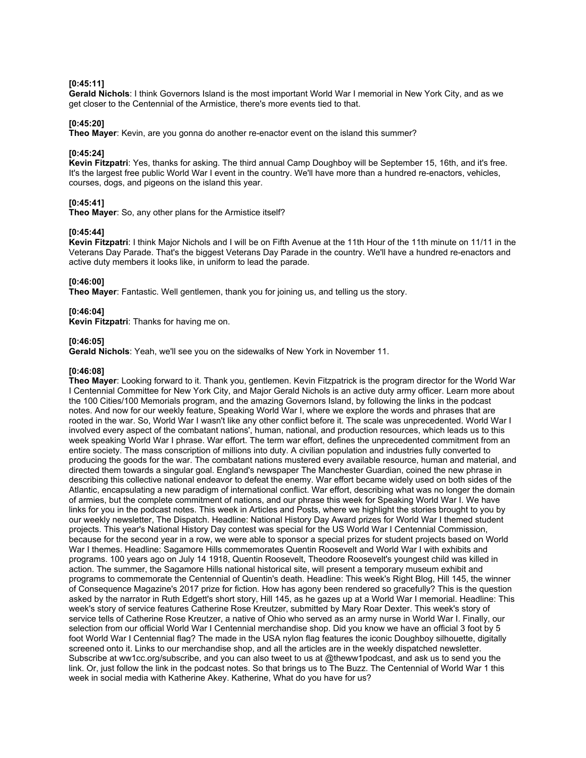### **[0:45:11]**

**Gerald Nichols**: I think Governors Island is the most important World War I memorial in New York City, and as we get closer to the Centennial of the Armistice, there's more events tied to that.

### **[0:45:20]**

**Theo Mayer**: Kevin, are you gonna do another re-enactor event on the island this summer?

### **[0:45:24]**

**Kevin Fitzpatri**: Yes, thanks for asking. The third annual Camp Doughboy will be September 15, 16th, and it's free. It's the largest free public World War I event in the country. We'll have more than a hundred re-enactors, vehicles, courses, dogs, and pigeons on the island this year.

## **[0:45:41]**

**Theo Mayer**: So, any other plans for the Armistice itself?

### **[0:45:44]**

**Kevin Fitzpatri**: I think Major Nichols and I will be on Fifth Avenue at the 11th Hour of the 11th minute on 11/11 in the Veterans Day Parade. That's the biggest Veterans Day Parade in the country. We'll have a hundred re-enactors and active duty members it looks like, in uniform to lead the parade.

### **[0:46:00]**

**Theo Mayer**: Fantastic. Well gentlemen, thank you for joining us, and telling us the story.

### **[0:46:04]**

**Kevin Fitzpatri**: Thanks for having me on.

### **[0:46:05]**

**Gerald Nichols**: Yeah, we'll see you on the sidewalks of New York in November 11.

### **[0:46:08]**

**Theo Mayer**: Looking forward to it. Thank you, gentlemen. Kevin Fitzpatrick is the program director for the World War I Centennial Committee for New York City, and Major Gerald Nichols is an active duty army officer. Learn more about the 100 Cities/100 Memorials program, and the amazing Governors Island, by following the links in the podcast notes. And now for our weekly feature, Speaking World War I, where we explore the words and phrases that are rooted in the war. So, World War I wasn't like any other conflict before it. The scale was unprecedented. World War I involved every aspect of the combatant nations', human, national, and production resources, which leads us to this week speaking World War I phrase. War effort. The term war effort, defines the unprecedented commitment from an entire society. The mass conscription of millions into duty. A civilian population and industries fully converted to producing the goods for the war. The combatant nations mustered every available resource, human and material, and directed them towards a singular goal. England's newspaper The Manchester Guardian, coined the new phrase in describing this collective national endeavor to defeat the enemy. War effort became widely used on both sides of the Atlantic, encapsulating a new paradigm of international conflict. War effort, describing what was no longer the domain of armies, but the complete commitment of nations, and our phrase this week for Speaking World War I. We have links for you in the podcast notes. This week in Articles and Posts, where we highlight the stories brought to you by our weekly newsletter, The Dispatch. Headline: National History Day Award prizes for World War I themed student projects. This year's National History Day contest was special for the US World War I Centennial Commission, because for the second year in a row, we were able to sponsor a special prizes for student projects based on World War I themes. Headline: Sagamore Hills commemorates Quentin Roosevelt and World War I with exhibits and programs. 100 years ago on July 14 1918, Quentin Roosevelt, Theodore Roosevelt's youngest child was killed in action. The summer, the Sagamore Hills national historical site, will present a temporary museum exhibit and programs to commemorate the Centennial of Quentin's death. Headline: This week's Right Blog, Hill 145, the winner of Consequence Magazine's 2017 prize for fiction. How has agony been rendered so gracefully? This is the question asked by the narrator in Ruth Edgett's short story, Hill 145, as he gazes up at a World War I memorial. Headline: This week's story of service features Catherine Rose Kreutzer, submitted by Mary Roar Dexter. This week's story of service tells of Catherine Rose Kreutzer, a native of Ohio who served as an army nurse in World War I. Finally, our selection from our official World War I Centennial merchandise shop. Did you know we have an official 3 foot by 5 foot World War I Centennial flag? The made in the USA nylon flag features the iconic Doughboy silhouette, digitally screened onto it. Links to our merchandise shop, and all the articles are in the weekly dispatched newsletter. Subscribe at ww1cc.org/subscribe, and you can also tweet to us at @theww1podcast, and ask us to send you the link. Or, just follow the link in the podcast notes. So that brings us to The Buzz. The Centennial of World War 1 this week in social media with Katherine Akey. Katherine, What do you have for us?